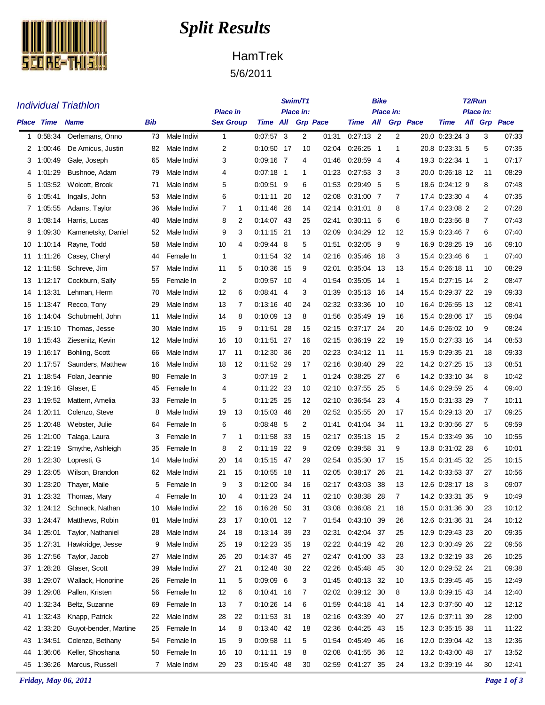

## *Split Results*

## HamTrek

5/6/2011

|          |                                  | <b>Individual Triathlon</b>        |          | Swim/T1                    |              |                                     | <b>Bike</b>                  |                                          | T2/Run   |                |                          |                                             |          |      |                                    |  |                                             |                |  |  |
|----------|----------------------------------|------------------------------------|----------|----------------------------|--------------|-------------------------------------|------------------------------|------------------------------------------|----------|----------------|--------------------------|---------------------------------------------|----------|------|------------------------------------|--|---------------------------------------------|----------------|--|--|
|          | <b>Place Time</b><br><b>Name</b> |                                    |          | Bib                        |              | <b>Place in</b><br><b>Sex Group</b> |                              | Place in:<br>Time All<br><b>Grp Pace</b> |          |                |                          | Place in:<br>All<br><b>Grp</b> Pace<br>Time |          |      |                                    |  | <b>Place in:</b><br>All Grp<br>Pace<br>Time |                |  |  |
| 1        | 0:58:34                          | Oerlemans, Onno                    | 73       | Male Indivi                | $\mathbf{1}$ |                                     | $0:07:57$ 3                  |                                          | 2        | 01:31          | $0.27:13$ 2              |                                             | 2        |      | 20.0 0:23:24 3                     |  | 3                                           | 07:33          |  |  |
| 2        | 1:00:46                          | De Amicus, Justin                  | 82       | Male Indivi                | 2            |                                     | 0:10:50 17                   |                                          | 10       | 02:04          | 0:26:25                  | -1                                          | 1        |      | 20.8 0:23:31 5                     |  | 5                                           | 07:35          |  |  |
| 3        | 1:00:49                          | Gale, Joseph                       | 65       | Male Indivi                | 3            |                                     | $0:09:16$ 7                  |                                          | 4        | 01:46          | 0:28:59                  | -4                                          | 4        |      | 19.3 0:22:34 1                     |  | 1                                           | 07:17          |  |  |
| 4        | 1:01:29                          | Bushnoe, Adam                      | 79       | Male Indivi                | 4            |                                     | $0.07:18$ 1                  |                                          | 1        | 01:23          | 0:27:53                  | -3                                          | 3        |      | 20.0  0:26:18  12                  |  | 11                                          | 08:29          |  |  |
| 5        | 1:03:52                          | Wolcott, Brook                     | 71       | Male Indivi                | 5            |                                     | $0.09.51$ 9                  |                                          | 6        | 01:53          | $0.29.49$ 5              |                                             | 5        |      | 18.6 0:24:12 9                     |  | 8                                           | 07:48          |  |  |
| 6        | 1:05:41                          | Ingalls, John                      | 53       | Male Indivi                | 6            |                                     | 0:11:11                      | -20                                      | 12       | 02:08          | 0:31:00 7                |                                             | 7        |      | 17.4 0:23:30 4                     |  | 4                                           | 07:35          |  |  |
| 7        | 1:05:55                          | Adams, Taylor                      | 36       | Male Indivi                | 7            | 1                                   | 0:11:46                      | 26                                       | 14       | 02:14          | $0.31.01$ 8              |                                             | 8        | 17.4 | $0.23.08$ 2                        |  | 2                                           | 07:28          |  |  |
| 8        | 1:08:14                          | Harris, Lucas                      | 40       | Male Indivi                | 8            | 2                                   | 0:14:07 43                   |                                          | 25       | 02:41          | $0.30.11$ 6              |                                             | 6        |      | 18.0 0:23:56 8                     |  | 7                                           | 07:43          |  |  |
| 9        | 1:09:30                          | Kamenetsky, Daniel                 | 52       | Male Indivi                | 9            | 3                                   | 0:11:15 21                   |                                          | 13       | 02:09          | 0:34:29                  | -12                                         | 12       |      | 15.9 0:23:46 7                     |  | 6                                           | 07:40          |  |  |
| 10       | 1:10:14                          | Rayne, Todd                        | 58       | Male Indivi                | 10           | 4                                   | $0.09.44$ 8                  |                                          | 5        | 01:51          | 0:32:05                  | - 9                                         | 9        |      | 16.9 0:28:25 19                    |  | 16                                          | 09:10          |  |  |
| 11       | 1:11:26                          | Casey, Cheryl                      | 44       | Female In                  | 1            |                                     | 0:11.54                      | -32                                      | 14       | 02:16          | 0.35.46                  | 18                                          | 3        |      | 15.4 0:23:46 6                     |  | 1                                           | 07:40          |  |  |
| 12       | 1:11:58                          | Schreve, Jim                       | 57       | Male Indivi                | 11           | 5                                   | 0:10:36                      | - 15                                     | 9        | 02:01          | 0:35:04                  | -13                                         | 13       |      | 15.4 0:26:18 11                    |  | 10                                          | 08:29          |  |  |
| 13       | 1:12:17                          | Cockburn, Sally                    | 55       | Female In                  | 2            |                                     | 0:09:57 10                   |                                          | 4        | 01:54          | 0:35:05 14               |                                             | 1        |      | 15.4 0:27:15 14                    |  | 2                                           | 08:47          |  |  |
| 14       | 1:13:31                          | Lehman, Herm                       | 70       | Male Indivi                | 12           | 6                                   | 0:08:41                      | -4                                       | 3        | 01:39          | 0:35:13 16               |                                             | 14       |      | 15.4 0:29:37 22                    |  | 19                                          | 09:33          |  |  |
| 15       | 1:13:47                          | Recco, Tony                        | 29       | Male Indivi                | 13           | 7                                   | 0:13:16                      | -40                                      | 24       | 02:32          | 0:33:36                  | - 10                                        | 10       | 16.4 | 0.26.55 13                         |  | 12                                          | 08:41          |  |  |
| 16       | 1:14:04                          | Schubmehl, John                    | 11       | Male Indivi                | 14           | 8                                   | 0:10:09                      | - 13                                     | 8        | 01:56          | 0:35:49                  | -19                                         | 16       |      | 15.4 0:28:06 17                    |  | 15                                          | 09:04          |  |  |
| 17       | 1:15:10                          | Thomas, Jesse                      | 30       | Male Indivi                | 15           | 9                                   | 0:11:51                      | -28                                      | 15       | 02:15          | 0:37:17 24<br>0:36:19 22 |                                             | 20       |      | 14.6 0:26:02 10<br>15.0 0:27:33 16 |  | 9<br>14                                     | 08:24<br>08:53 |  |  |
| 18<br>19 | 1:15:43<br>1:16:17               | Ziesenitz, Kevin<br>Bohling, Scott | 12<br>66 | Male Indivi<br>Male Indivi | 16<br>17     | 10<br>11                            | $0:11:51$ 27<br>0:12:30      | -36                                      | 16<br>20 | 02:15<br>02:23 | 0:34:12                  | - 11                                        | 19<br>11 | 15.9 | 0.29.35 21                         |  | 18                                          | 09:33          |  |  |
| 20       | 1:17:57                          | Saunders, Matthew                  | 16       | Male Indivi                | 18           | 12                                  | 0:11:52 29                   |                                          | 17       | 02:16          | 0:38:40                  | 29                                          | 22       |      | 14.2 0:27:25 15                    |  | 13                                          | 08:51          |  |  |
| 21       | 1:18:54                          | Folan, Jeannie                     | 80       | Female In                  | 3            |                                     | $0:07:19$ 2                  |                                          | 1        | 01:24          | 0:38:25                  | -27                                         | 6        |      | 14.2 0:33:10 34                    |  | 8                                           | 10:42          |  |  |
| 22       | 1:19:16                          | Glaser, E                          | 45       | Female In                  | 4            |                                     | 0:11:22 23                   |                                          | 10       | 02:10          | 0:37:55 25               |                                             | 5        |      | 14.6 0:29:59 25                    |  | 4                                           | 09:40          |  |  |
| 23       | 1:19.52                          | Mattern, Amelia                    | 33       | Female In                  | 5            |                                     | 0:11.25                      | - 25                                     | 12       | 02:10          | 0.36.54 23               |                                             | 4        | 15.0 | 0:31:33 29                         |  | 7                                           | 10:11          |  |  |
| 24       | 1:20:11                          | Colenzo, Steve                     | 8        | Male Indivi                | 19           | 13                                  | 0:15:03 46                   |                                          | 28       | 02:52          | 0:35:55                  | -20                                         | 17       |      | 15.4 0:29:13 20                    |  | 17                                          | 09:25          |  |  |
| 25       | 1:20:48                          | Webster, Julie                     | 64       | Female In                  | 6            |                                     | 0.08.48                      | - 5                                      | 2        | 01:41          | 0:41:04 34               |                                             | 11       |      | 13.2 0:30:56 27                    |  | 5                                           | 09:59          |  |  |
| 26       | 1:21:00                          | Talaga, Laura                      | 3        | Female In                  | 7            | 1                                   | 0:11.58                      | - 33                                     | 15       | 02:17          | 0:35:13                  | - 15                                        | 2        |      | 15.4 0:33:49 36                    |  | 10                                          | 10:55          |  |  |
| 27       | 1:22:19                          | Smythe, Ashleigh                   | 35       | Female In                  | 8            | 2                                   | 0:11:19                      | -22                                      | 9        | 02:09          | 0:39:58                  | -31                                         | 9        |      | 13.8 0:31:02 28                    |  | 6                                           | 10:01          |  |  |
| 28       | 1:22:30                          | Lopresti, G                        | 14       | Male Indivi                | 20           | 14                                  | $0:15:15$ 47                 |                                          | 29       | 02:54          | 0:35:30                  | -17                                         | 15       |      | 15.4 0:31:45 32                    |  | 25                                          | 10:15          |  |  |
| 29       | 1:23:05                          | Wilson, Brandon                    | 62       | Male Indivi                | 21           | 15                                  | 0:10:55                      | - 18                                     | 11       | 02:05          | 0:38:17 26               |                                             | 21       |      | 14.2 0:33:53 37                    |  | 27                                          | 10:56          |  |  |
| 30       | 1:23:20                          | Thayer, Maile                      | 5        | Female In                  | 9            | 3                                   | 0:12:00 34                   |                                          | 16       | 02:17          | 0:43:03                  | 38                                          | 13       |      | 12.6 0:28:17 18                    |  | 3                                           | 09:07          |  |  |
| 31       |                                  | 1:23:32 Thomas, Mary               | 4        | Female In                  | 10           | 4                                   | $0:11:23$ 24                 |                                          | 11       | 02:10          | 0:38:38 28               |                                             | 7        |      | 14.2 0:33:31 35                    |  | 9                                           | 10:49          |  |  |
| 32       |                                  | 1:24:12 Schneck, Nathan            | 10       | Male Indivi                | 22           | 16                                  | 0:16:28 50                   |                                          | 31       | 03:08          | 0:36:08 21               |                                             | 18       |      | 15.0 0:31:36 30                    |  | 23                                          | 10:12          |  |  |
| 33       | 1:24:47                          | Matthews, Robin                    | 81       | Male Indivi                | 23           | 17                                  | 0:10:01 12                   |                                          | 7        | 01:54          | 0:43:10 39               |                                             | 26       |      | 12.6 0:31:36 31                    |  | 24                                          | 10:12          |  |  |
| 34       | 1:25:01                          | Taylor, Nathaniel                  | 28       | Male Indivi                | 24           | 18                                  | 0:13:14 39                   |                                          | 23       | 02:31          | 0:42:04 37               |                                             | 25       |      | 12.9 0:29:43 23                    |  | 20                                          | 09:35          |  |  |
| 35       | 1:27:31                          | Hawkridge, Jesse                   | 9        | Male Indivi                | 25           | 19                                  | 0:12:23 35                   |                                          | 19       | 02:22          | $0:44:19$ 42             |                                             | 28       |      | 12.3 0:30:49 26                    |  | 22                                          | 09:56          |  |  |
| 36       | 1:27:56                          | Taylor, Jacob                      | 27       | Male Indivi                | 26           | 20                                  | 0:14:37 45                   |                                          | 27       | 02:47          | 0:41:00 33               |                                             | 23       |      | 13.2 0:32:19 33                    |  | 26                                          | 10:25          |  |  |
| 37       | 1:28:28                          | Glaser, Scott                      | 39       | Male Indivi                | 27           | 21                                  | 0:12:48 38                   |                                          | 22       | 02:26          | 0:45:48 45               |                                             | 30       |      | 12.0 0:29:52 24                    |  | 21                                          | 09:38          |  |  |
| 38       | 1:29:07                          | Wallack, Honorine                  | 26       | Female In                  | 11           | 5                                   | $0:09:09$ 6                  |                                          | 3        | 01:45          | 0:40:13 32               |                                             | 10       |      | 13.5 0:39:45 45                    |  | 15                                          | 12:49          |  |  |
| 39<br>40 | 1:29:08<br>1:32:34               | Pallen, Kristen<br>Beltz, Suzanne  | 56<br>69 | Female In<br>Female In     | 12<br>13     | 6<br>7                              | $0:10:41$ 16<br>$0:10:26$ 14 |                                          | 7<br>6   | 02:02<br>01:59 | 0:39:12 30<br>0:44:18 41 |                                             | 8<br>14  |      | 13.8 0:39:15 43<br>12.3 0:37:50 40 |  | 14<br>12                                    | 12:40<br>12:12 |  |  |
| 41       | 1:32:43                          | Knapp, Patrick                     | 22       | Male Indivi                | 28           | 22                                  | 0:11:53 31                   |                                          | 18       | 02:16          | 0:43:39 40               |                                             | 27       |      | 12.6 0:37:11 39                    |  | 28                                          | 12:00          |  |  |
| 42       | 1:33:20                          | Guyot-bender, Martine              | 25       | Female In                  | 14           | 8                                   | 0:13:40 42                   |                                          | 18       | 02:36          | 0:44:25 43               |                                             | 15       |      | 12.3 0:35:15 38                    |  | 11                                          | 11:22          |  |  |
| 43       | 1:34:51                          | Colenzo, Bethany                   | 54       | Female In                  | 15           | 9                                   | 0:09:58 11                   |                                          | 5        | 01:54          | 0:45:49 46               |                                             | 16       |      | 12.0 0:39:04 42                    |  | 13                                          | 12:36          |  |  |
| 44       | 1:36:06                          | Keller, Shoshana                   | 50       | Female In                  | 16           | 10                                  | $0:11:11$ 19                 |                                          | 8        | 02:08          | 0:41:55 36               |                                             | 12       |      | 13.2 0:43:00 48                    |  | 17                                          | 13:52          |  |  |
| 45       | 1:36:26                          | Marcus, Russell                    | 7        | Male Indivi                | 29           | 23                                  | 0:15:40 48                   |                                          | 30       | 02:59          | 0:41:27 35               |                                             | 24       |      | 13.2 0:39:19 44                    |  | 30                                          | 12:41          |  |  |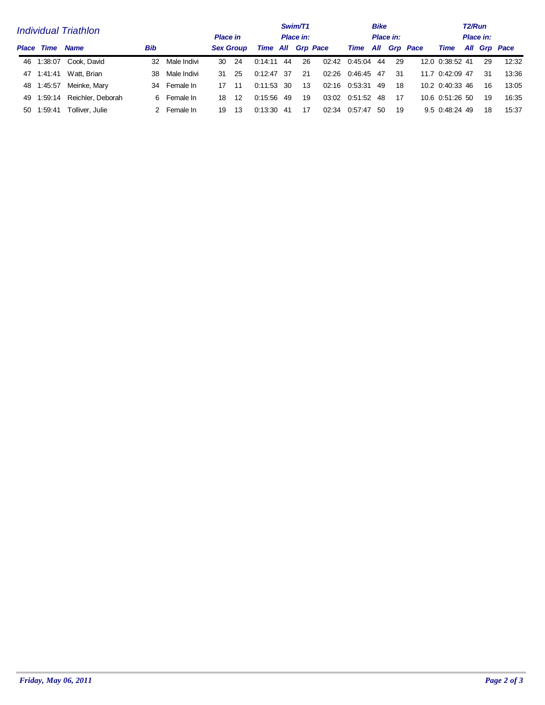|                             |            |                        |     |              |                  |                 | Swim/T1                  |     |           | <b>Bike</b> |         | T2/Run |           |              |                 |  |    |              |  |
|-----------------------------|------------|------------------------|-----|--------------|------------------|-----------------|--------------------------|-----|-----------|-------------|---------|--------|-----------|--------------|-----------------|--|----|--------------|--|
| <b>Individual Triathlon</b> |            |                        |     |              |                  | <b>Place in</b> |                          |     | Place in: |             |         |        | Place in: |              | Place in:       |  |    |              |  |
| Place                       | Time       | <b>Name</b>            | Bib |              | <b>Sex Group</b> |                 | <b>Time All Grp Pace</b> |     |           |             | Time    |        |           | All Grp Pace | Time            |  |    | All Grp Pace |  |
|                             |            | 46 1:38:07 Cook, David | 32  | Male Indivi  | 30               | -24             | 0:14:11                  | 44  | 26        | 02:42       | 0.45.04 | 44     | 29        |              | 12.0 0:38:52 41 |  | 29 | 12:32        |  |
|                             | 47 1:41:41 | Watt, Brian            | 38  | Male Indivi  | 31               | -25             | $0.12.47$ 37             |     | -21       | 02:26       | 0.46.45 | -47    | 31        |              | 11.7 0:42:09 47 |  | 31 | 13:36        |  |
|                             | 48 1:45:57 | Meinke, Mary           |     | 34 Female In | 17               | -11             | $0:11:53$ 30             |     | 13        | 02:16       | 0.53.31 | 49     | -18       |              | 10.2 0.40.33 46 |  | 16 | 13:05        |  |
|                             | 49 1.59.14 | Reichler, Deborah      |     | 6 Female In  | 18               | 12              | 0.15.56                  | -49 | 19        | 03:02       | 0:51:52 | -48    | 17        |              | 10.6 0.51:26 50 |  | 19 | 16:35        |  |
| 50.                         | 1:59:41    | Tolliver, Julie        |     | 2 Female In  | 19               | 13              | 0.13:30                  | -41 | 17        | 02:34       | 0.57.47 | .50    | 19        |              | 9.5 0:48:24 49  |  | 18 | 15:37        |  |